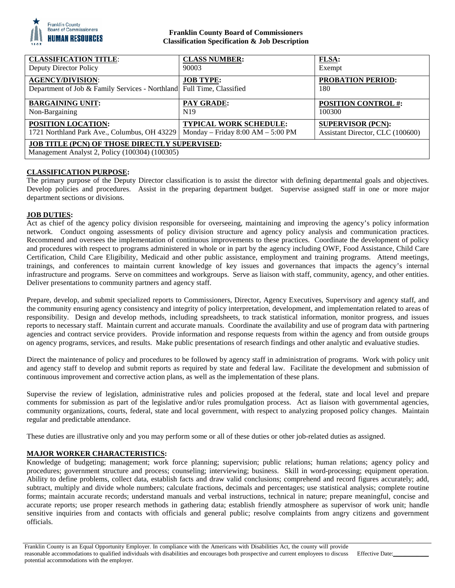

## **Franklin County Board of Commissioners Classification Specification & Job Description**

| <b>CLASSIFICATION TITLE:</b>                                                                           | <b>CLASS NUMBER:</b>              | <b>FLSA:</b>                     |
|--------------------------------------------------------------------------------------------------------|-----------------------------------|----------------------------------|
| Deputy Director Policy                                                                                 | 90003                             | Exempt                           |
| <b>AGENCY/DIVISION:</b><br>Department of Job & Family Services - Northland Full Time, Classified       | <b>JOB TYPE:</b>                  | <b>PROBATION PERIOD:</b><br>180  |
| <b>BARGAINING UNIT:</b>                                                                                | <b>PAY GRADE:</b>                 | <b>POSITION CONTROL #:</b>       |
| Non-Bargaining                                                                                         | N <sub>19</sub>                   | 100300                           |
| <b>POSITION LOCATION:</b>                                                                              | <b>TYPICAL WORK SCHEDULE:</b>     | <b>SUPERVISOR (PCN):</b>         |
| 1721 Northland Park Ave., Columbus, OH 43229                                                           | Monday - Friday 8:00 AM - 5:00 PM | Assistant Director, CLC (100600) |
| <b>JOB TITLE (PCN) OF THOSE DIRECTLY SUPERVISED:</b><br>Management Analyst 2, Policy (100304) (100305) |                                   |                                  |

# **CLASSIFICATION PURPOSE:**

The primary purpose of the Deputy Director classification is to assist the director with defining departmental goals and objectives. Develop policies and procedures. Assist in the preparing department budget. Supervise assigned staff in one or more major department sections or divisions.

### **JOB DUTIES:**

Act as chief of the agency policy division responsible for overseeing, maintaining and improving the agency's policy information network. Conduct ongoing assessments of policy division structure and agency policy analysis and communication practices. Recommend and oversees the implementation of continuous improvements to these practices. Coordinate the development of policy and procedures with respect to programs administered in whole or in part by the agency including OWF, Food Assistance, Child Care Certification, Child Care Eligibility, Medicaid and other public assistance, employment and training programs. Attend meetings, trainings, and conferences to maintain current knowledge of key issues and governances that impacts the agency's internal infrastructure and programs. Serve on committees and workgroups. Serve as liaison with staff, community, agency, and other entities. Deliver presentations to community partners and agency staff.

Prepare, develop, and submit specialized reports to Commissioners, Director, Agency Executives, Supervisory and agency staff, and the community ensuring agency consistency and integrity of policy interpretation, development, and implementation related to areas of responsibility. Design and develop methods, including spreadsheets, to track statistical information, monitor progress, and issues reports to necessary staff. Maintain current and accurate manuals. Coordinate the availability and use of program data with partnering agencies and contract service providers. Provide information and response requests from within the agency and from outside groups on agency programs, services, and results. Make public presentations of research findings and other analytic and evaluative studies.

Direct the maintenance of policy and procedures to be followed by agency staff in administration of programs. Work with policy unit and agency staff to develop and submit reports as required by state and federal law. Facilitate the development and submission of continuous improvement and corrective action plans, as well as the implementation of these plans.

Supervise the review of legislation, administrative rules and policies proposed at the federal, state and local level and prepare comments for submission as part of the legislative and/or rules promulgation process. Act as liaison with governmental agencies, community organizations, courts, federal, state and local government, with respect to analyzing proposed policy changes. Maintain regular and predictable attendance.

These duties are illustrative only and you may perform some or all of these duties or other job-related duties as assigned.

# **MAJOR WORKER CHARACTERISTICS:**

Knowledge of budgeting; management; work force planning; supervision; public relations; human relations; agency policy and procedures; government structure and process; counseling; interviewing; business. Skill in word-processing; equipment operation. Ability to define problems, collect data, establish facts and draw valid conclusions; comprehend and record figures accurately; add, subtract, multiply and divide whole numbers; calculate fractions, decimals and percentages; use statistical analysis; complete routine forms; maintain accurate records; understand manuals and verbal instructions, technical in nature; prepare meaningful, concise and accurate reports; use proper research methods in gathering data; establish friendly atmosphere as supervisor of work unit; handle sensitive inquiries from and contacts with officials and general public; resolve complaints from angry citizens and government officials.

Effective Date: